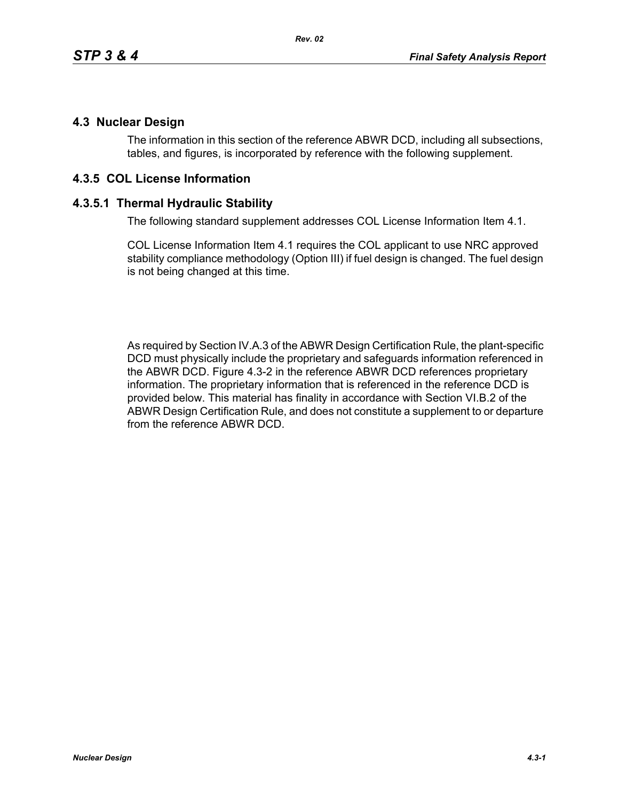## **4.3 Nuclear Design**

The information in this section of the reference ABWR DCD, including all subsections, tables, and figures, is incorporated by reference with the following supplement.

## **4.3.5 COL License Information**

## **4.3.5.1 Thermal Hydraulic Stability**

The following standard supplement addresses COL License Information Item 4.1.

COL License Information Item 4.1 requires the COL applicant to use NRC approved stability compliance methodology (Option III) if fuel design is changed. The fuel design is not being changed at this time.

As required by Section IV.A.3 of the ABWR Design Certification Rule, the plant-specific DCD must physically include the proprietary and safeguards information referenced in the ABWR DCD. Figure 4.3-2 in the reference ABWR DCD references proprietary information. The proprietary information that is referenced in the reference DCD is provided below. This material has finality in accordance with Section VI.B.2 of the ABWR Design Certification Rule, and does not constitute a supplement to or departure from the reference ABWR DCD.